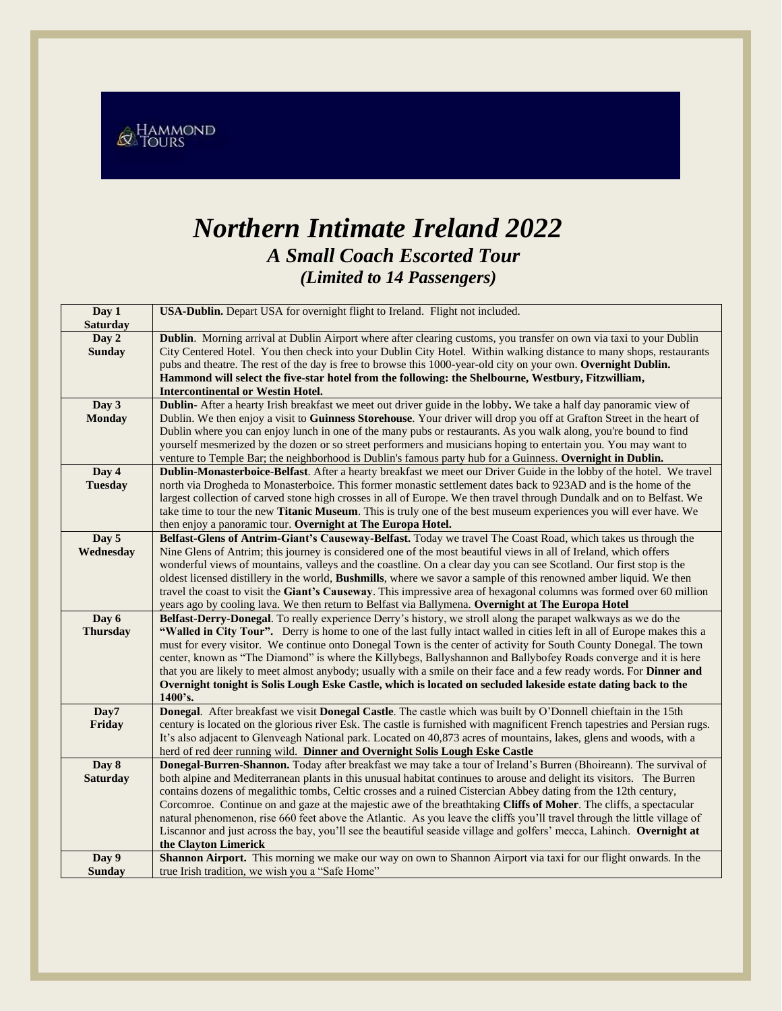& HAMMOND

## *Northern Intimate Ireland 2022 A Small Coach Escorted Tour (Limited to 14 Passengers)*

| Day 1           | USA-Dublin. Depart USA for overnight flight to Ireland. Flight not included.                                               |  |  |
|-----------------|----------------------------------------------------------------------------------------------------------------------------|--|--|
| <b>Saturday</b> |                                                                                                                            |  |  |
| Day 2           | Dublin. Morning arrival at Dublin Airport where after clearing customs, you transfer on own via taxi to your Dublin        |  |  |
| <b>Sunday</b>   | City Centered Hotel. You then check into your Dublin City Hotel. Within walking distance to many shops, restaurants        |  |  |
|                 | pubs and theatre. The rest of the day is free to browse this 1000-year-old city on your own. Overnight Dublin.             |  |  |
|                 | Hammond will select the five-star hotel from the following: the Shelbourne, Westbury, Fitzwilliam,                         |  |  |
|                 | <b>Intercontinental or Westin Hotel.</b>                                                                                   |  |  |
| Day 3           | Dublin- After a hearty Irish breakfast we meet out driver guide in the lobby. We take a half day panoramic view of         |  |  |
| <b>Monday</b>   | Dublin. We then enjoy a visit to Guinness Storehouse. Your driver will drop you off at Grafton Street in the heart of      |  |  |
|                 | Dublin where you can enjoy lunch in one of the many pubs or restaurants. As you walk along, you're bound to find           |  |  |
|                 | yourself mesmerized by the dozen or so street performers and musicians hoping to entertain you. You may want to            |  |  |
|                 | venture to Temple Bar; the neighborhood is Dublin's famous party hub for a Guinness. Overnight in Dublin.                  |  |  |
| Day 4           | Dublin-Monasterboice-Belfast. After a hearty breakfast we meet our Driver Guide in the lobby of the hotel. We travel       |  |  |
| <b>Tuesday</b>  | north via Drogheda to Monasterboice. This former monastic settlement dates back to 923AD and is the home of the            |  |  |
|                 | largest collection of carved stone high crosses in all of Europe. We then travel through Dundalk and on to Belfast. We     |  |  |
|                 | take time to tour the new Titanic Museum. This is truly one of the best museum experiences you will ever have. We          |  |  |
|                 | then enjoy a panoramic tour. Overnight at The Europa Hotel.                                                                |  |  |
| Day 5           | Belfast-Glens of Antrim-Giant's Causeway-Belfast. Today we travel The Coast Road, which takes us through the               |  |  |
| Wednesday       | Nine Glens of Antrim; this journey is considered one of the most beautiful views in all of Ireland, which offers           |  |  |
|                 | wonderful views of mountains, valleys and the coastline. On a clear day you can see Scotland. Our first stop is the        |  |  |
|                 | oldest licensed distillery in the world, <b>Bushmills</b> , where we savor a sample of this renowned amber liquid. We then |  |  |
|                 | travel the coast to visit the Giant's Causeway. This impressive area of hexagonal columns was formed over 60 million       |  |  |
|                 | years ago by cooling lava. We then return to Belfast via Ballymena. Overnight at The Europa Hotel                          |  |  |
| Day 6           | Belfast-Derry-Donegal. To really experience Derry's history, we stroll along the parapet walkways as we do the             |  |  |
| <b>Thursday</b> | "Walled in City Tour". Derry is home to one of the last fully intact walled in cities left in all of Europe makes this a   |  |  |
|                 | must for every visitor. We continue onto Donegal Town is the center of activity for South County Donegal. The town         |  |  |
|                 | center, known as "The Diamond" is where the Killybegs, Ballyshannon and Ballybofey Roads converge and it is here           |  |  |
|                 | that you are likely to meet almost anybody; usually with a smile on their face and a few ready words. For Dinner and       |  |  |
|                 | Overnight tonight is Solis Lough Eske Castle, which is located on secluded lakeside estate dating back to the<br>1400's.   |  |  |
| Day7            | Donegal. After breakfast we visit Donegal Castle. The castle which was built by O'Donnell chieftain in the 15th            |  |  |
| Friday          | century is located on the glorious river Esk. The castle is furnished with magnificent French tapestries and Persian rugs. |  |  |
|                 | It's also adjacent to Glenveagh National park. Located on 40,873 acres of mountains, lakes, glens and woods, with a        |  |  |
|                 | herd of red deer running wild. Dinner and Overnight Solis Lough Eske Castle                                                |  |  |
| Day 8           | Donegal-Burren-Shannon. Today after breakfast we may take a tour of Ireland's Burren (Bhoireann). The survival of          |  |  |
| <b>Saturday</b> | both alpine and Mediterranean plants in this unusual habitat continues to arouse and delight its visitors. The Burren      |  |  |
|                 | contains dozens of megalithic tombs, Celtic crosses and a ruined Cistercian Abbey dating from the 12th century,            |  |  |
|                 | Corcomroe. Continue on and gaze at the majestic awe of the breathtaking Cliffs of Moher. The cliffs, a spectacular         |  |  |
|                 | natural phenomenon, rise 660 feet above the Atlantic. As you leave the cliffs you'll travel through the little village of  |  |  |
|                 | Liscannor and just across the bay, you'll see the beautiful seaside village and golfers' mecca, Lahinch. Overnight at      |  |  |
|                 | the Clayton Limerick                                                                                                       |  |  |
| Day 9           | Shannon Airport. This morning we make our way on own to Shannon Airport via taxi for our flight onwards. In the            |  |  |
| <b>Sunday</b>   | true Irish tradition, we wish you a "Safe Home"                                                                            |  |  |
|                 |                                                                                                                            |  |  |